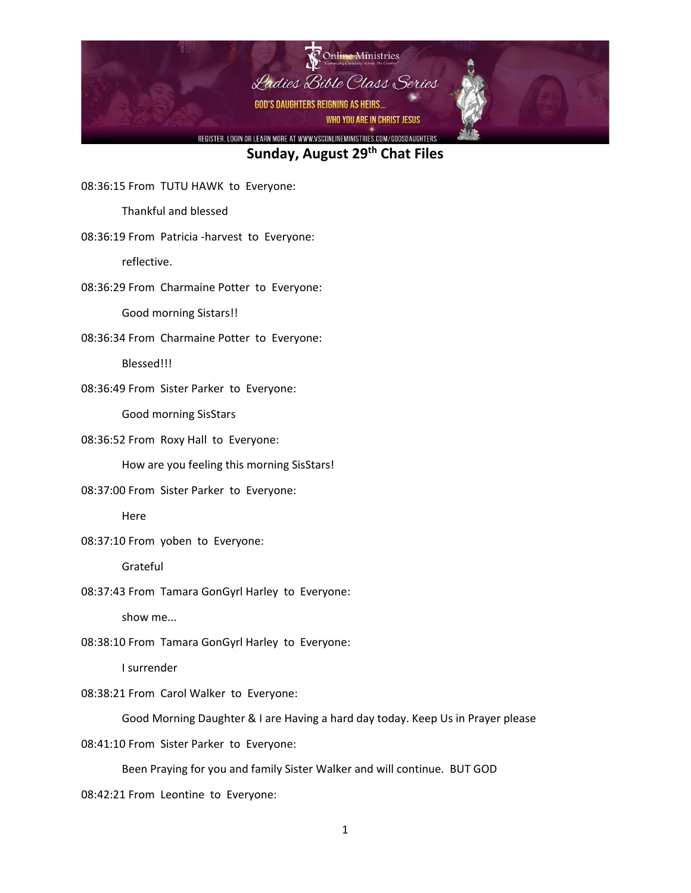

08:36:15 From TUTU HAWK to Everyone:

Thankful and blessed

08:36:19 From Patricia -harvest to Everyone:

reflective.

08:36:29 From Charmaine Potter to Everyone:

Good morning Sistars!!

08:36:34 From Charmaine Potter to Everyone:

Blessed!!!

08:36:49 From Sister Parker to Everyone:

Good morning SisStars

08:36:52 From Roxy Hall to Everyone:

How are you feeling this morning SisStars!

08:37:00 From Sister Parker to Everyone:

Here

08:37:10 From yoben to Everyone:

Grateful

08:37:43 From Tamara GonGyrl Harley to Everyone:

show me...

08:38:10 From Tamara GonGyrl Harley to Everyone:

I surrender

08:38:21 From Carol Walker to Everyone:

Good Morning Daughter & I are Having a hard day today. Keep Us in Prayer please

08:41:10 From Sister Parker to Everyone:

Been Praying for you and family Sister Walker and will continue. BUT GOD

08:42:21 From Leontine to Everyone: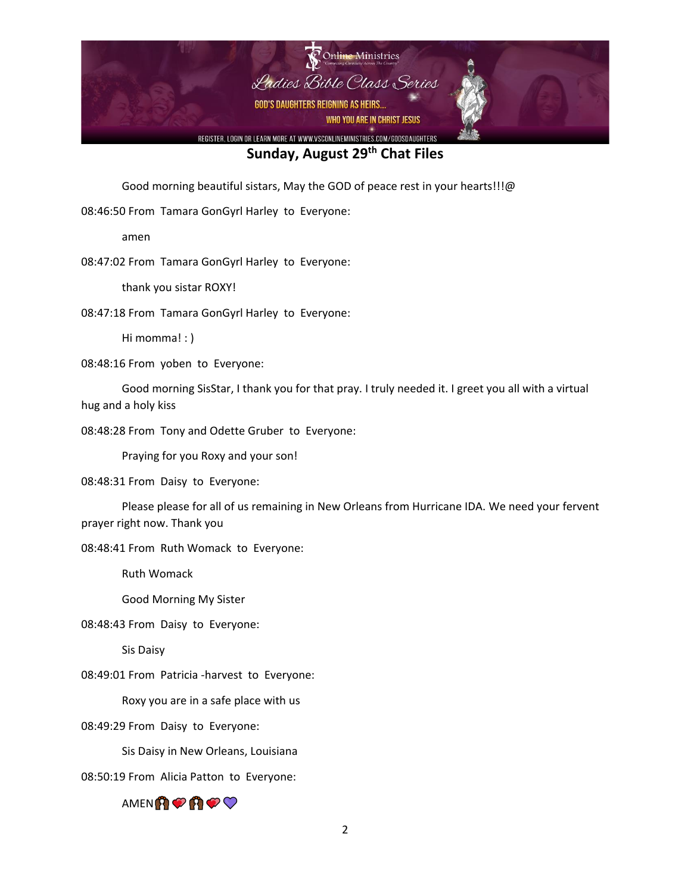

Good morning beautiful sistars, May the GOD of peace rest in your hearts!!!@

08:46:50 From Tamara GonGyrl Harley to Everyone:

amen

08:47:02 From Tamara GonGyrl Harley to Everyone:

thank you sistar ROXY!

08:47:18 From Tamara GonGyrl Harley to Everyone:

Hi momma! : )

08:48:16 From yoben to Everyone:

Good morning SisStar, I thank you for that pray. I truly needed it. I greet you all with a virtual hug and a holy kiss

08:48:28 From Tony and Odette Gruber to Everyone:

Praying for you Roxy and your son!

08:48:31 From Daisy to Everyone:

Please please for all of us remaining in New Orleans from Hurricane IDA. We need your fervent prayer right now. Thank you

08:48:41 From Ruth Womack to Everyone:

Ruth Womack

Good Morning My Sister

08:48:43 From Daisy to Everyone:

Sis Daisy

08:49:01 From Patricia -harvest to Everyone:

Roxy you are in a safe place with us

08:49:29 From Daisy to Everyone:

Sis Daisy in New Orleans, Louisiana

08:50:19 From Alicia Patton to Everyone:

AMENA<del>O</del>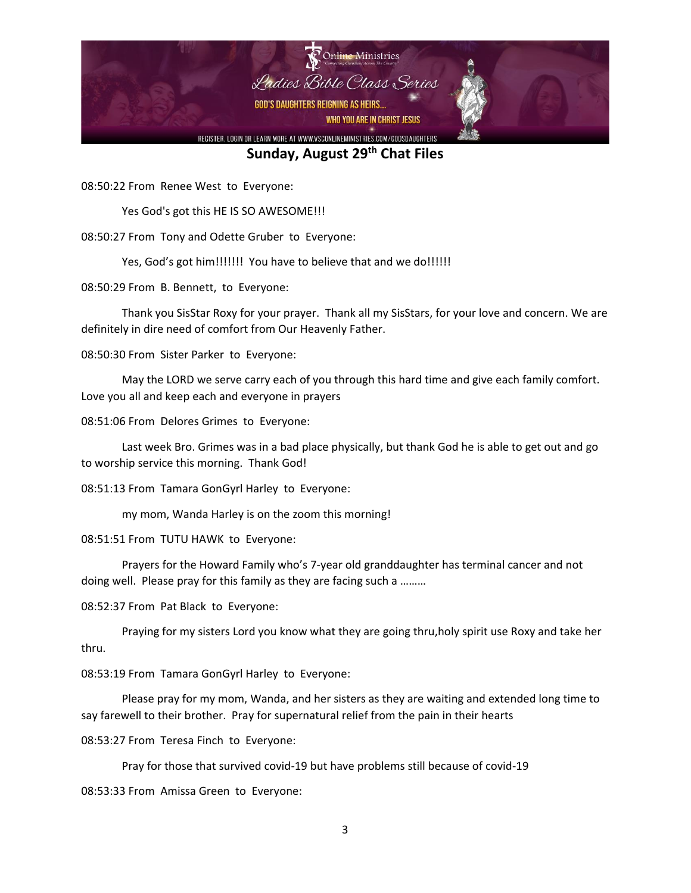

08:50:22 From Renee West to Everyone:

Yes God's got this HE IS SO AWESOME!!!

08:50:27 From Tony and Odette Gruber to Everyone:

Yes, God's got him!!!!!!!! You have to believe that and we do!!!!!!

08:50:29 From B. Bennett, to Everyone:

Thank you SisStar Roxy for your prayer. Thank all my SisStars, for your love and concern. We are definitely in dire need of comfort from Our Heavenly Father.

08:50:30 From Sister Parker to Everyone:

May the LORD we serve carry each of you through this hard time and give each family comfort. Love you all and keep each and everyone in prayers

08:51:06 From Delores Grimes to Everyone:

Last week Bro. Grimes was in a bad place physically, but thank God he is able to get out and go to worship service this morning. Thank God!

08:51:13 From Tamara GonGyrl Harley to Everyone:

my mom, Wanda Harley is on the zoom this morning!

08:51:51 From TUTU HAWK to Everyone:

Prayers for the Howard Family who's 7-year old granddaughter has terminal cancer and not doing well. Please pray for this family as they are facing such a ………

08:52:37 From Pat Black to Everyone:

Praying for my sisters Lord you know what they are going thru,holy spirit use Roxy and take her thru.

08:53:19 From Tamara GonGyrl Harley to Everyone:

Please pray for my mom, Wanda, and her sisters as they are waiting and extended long time to say farewell to their brother. Pray for supernatural relief from the pain in their hearts

08:53:27 From Teresa Finch to Everyone:

Pray for those that survived covid-19 but have problems still because of covid-19

08:53:33 From Amissa Green to Everyone: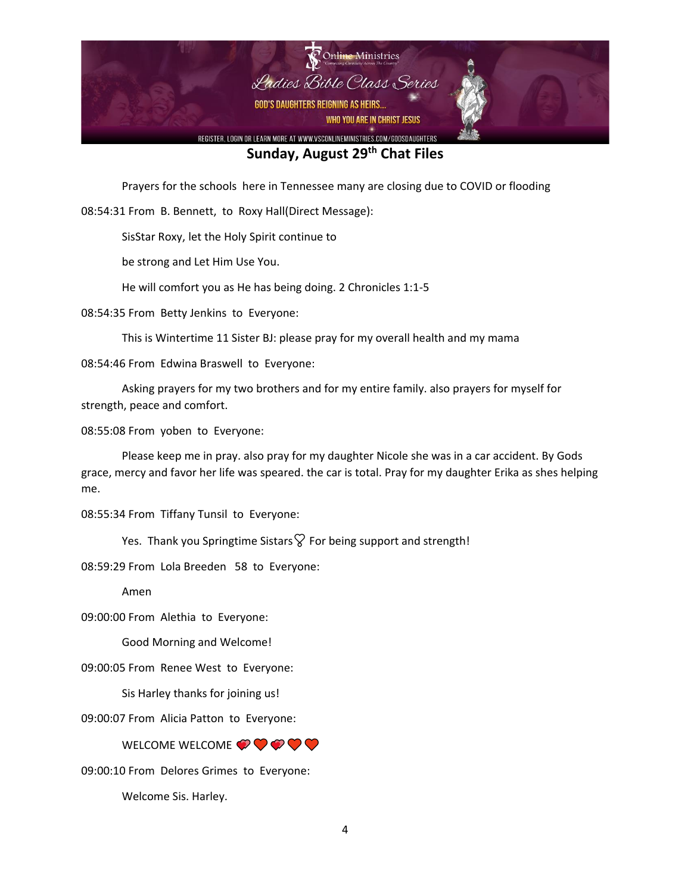

Prayers for the schools here in Tennessee many are closing due to COVID or flooding

08:54:31 From B. Bennett, to Roxy Hall(Direct Message):

SisStar Roxy, let the Holy Spirit continue to

be strong and Let Him Use You.

He will comfort you as He has being doing. 2 Chronicles 1:1-5

08:54:35 From Betty Jenkins to Everyone:

This is Wintertime 11 Sister BJ: please pray for my overall health and my mama

08:54:46 From Edwina Braswell to Everyone:

Asking prayers for my two brothers and for my entire family. also prayers for myself for strength, peace and comfort.

08:55:08 From yoben to Everyone:

Please keep me in pray. also pray for my daughter Nicole she was in a car accident. By Gods grace, mercy and favor her life was speared. the car is total. Pray for my daughter Erika as shes helping me.

08:55:34 From Tiffany Tunsil to Everyone:

Yes. Thank you Springtime Sistars  $\heartsuit$  For being support and strength!

08:59:29 From Lola Breeden 58 to Everyone:

Amen

09:00:00 From Alethia to Everyone:

Good Morning and Welcome!

09:00:05 From Renee West to Everyone:

Sis Harley thanks for joining us!

09:00:07 From Alicia Patton to Everyone:

WELCOME **OOO** 

09:00:10 From Delores Grimes to Everyone:

Welcome Sis. Harley.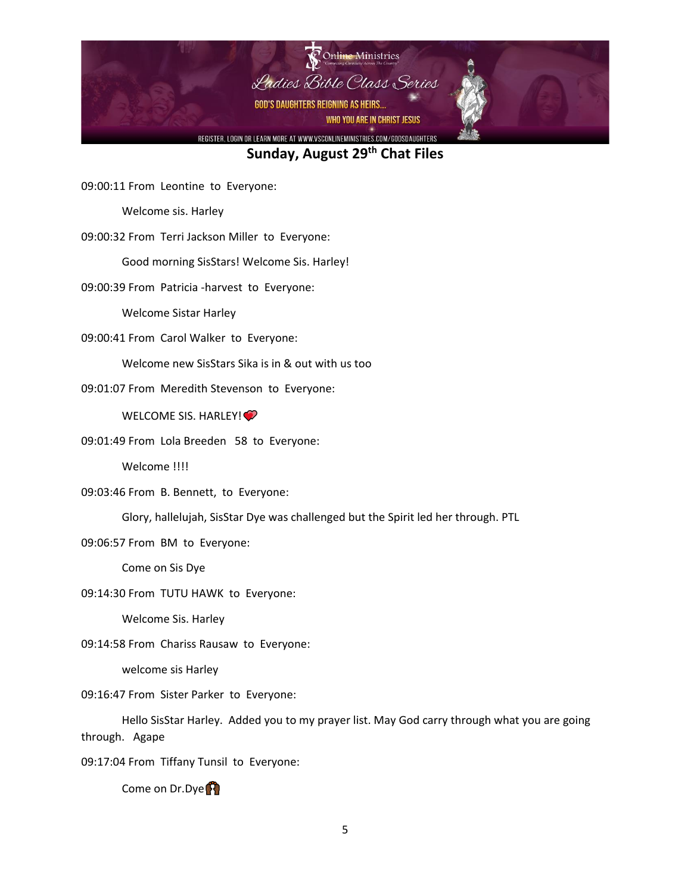

09:00:11 From Leontine to Everyone:

Welcome sis. Harley

09:00:32 From Terri Jackson Miller to Everyone:

Good morning SisStars! Welcome Sis. Harley!

09:00:39 From Patricia -harvest to Everyone:

Welcome Sistar Harley

09:00:41 From Carol Walker to Everyone:

Welcome new SisStars Sika is in & out with us too

09:01:07 From Meredith Stevenson to Everyone:

WELCOME SIS. HARLEY!<sup>2</sup>

09:01:49 From Lola Breeden 58 to Everyone:

Welcome !!!!

09:03:46 From B. Bennett, to Everyone:

Glory, hallelujah, SisStar Dye was challenged but the Spirit led her through. PTL

09:06:57 From BM to Everyone:

Come on Sis Dye

09:14:30 From TUTU HAWK to Everyone:

Welcome Sis. Harley

09:14:58 From Chariss Rausaw to Everyone:

welcome sis Harley

09:16:47 From Sister Parker to Everyone:

Hello SisStar Harley. Added you to my prayer list. May God carry through what you are going through. Agape

09:17:04 From Tiffany Tunsil to Everyone:

Come on Dr.Dye<sup>1</sup>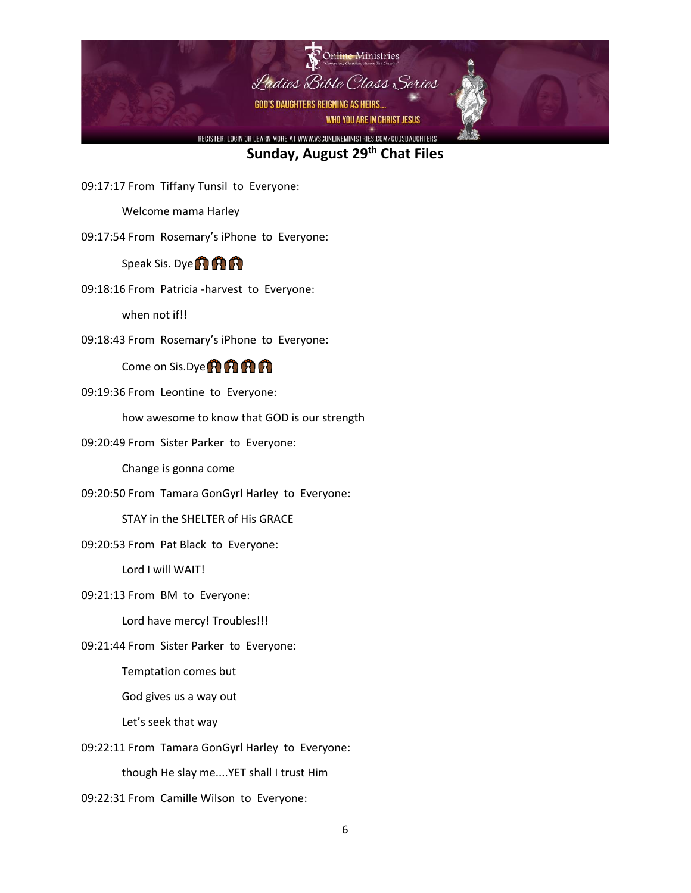

09:17:17 From Tiffany Tunsil to Everyone:

Welcome mama Harley

09:17:54 From Rosemary's iPhone to Everyone:

Speak Sis. Dye<sup>1</sup>

09:18:16 From Patricia -harvest to Everyone:

when not if!!

09:18:43 From Rosemary's iPhone to Everyone:

Come on Sis.Dye **(A) A) A)** 

09:19:36 From Leontine to Everyone:

how awesome to know that GOD is our strength

09:20:49 From Sister Parker to Everyone:

Change is gonna come

09:20:50 From Tamara GonGyrl Harley to Everyone:

STAY in the SHELTER of His GRACE

09:20:53 From Pat Black to Everyone:

Lord I will WAIT!

09:21:13 From BM to Everyone:

Lord have mercy! Troubles!!!

09:21:44 From Sister Parker to Everyone:

Temptation comes but

God gives us a way out

Let's seek that way

09:22:11 From Tamara GonGyrl Harley to Everyone:

though He slay me....YET shall I trust Him

09:22:31 From Camille Wilson to Everyone: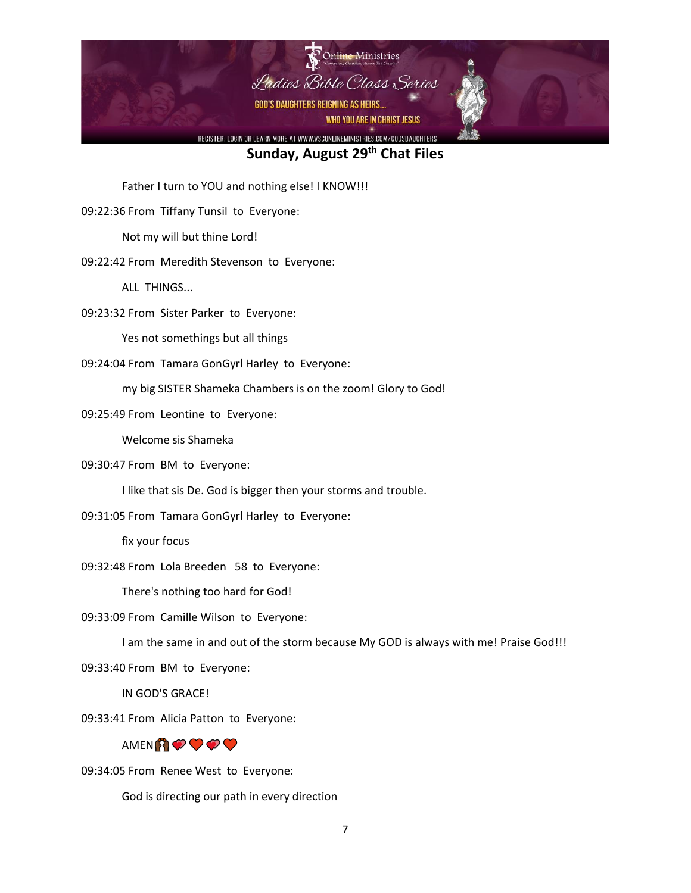

Father I turn to YOU and nothing else! I KNOW!!!

09:22:36 From Tiffany Tunsil to Everyone:

Not my will but thine Lord!

09:22:42 From Meredith Stevenson to Everyone:

ALL THINGS...

09:23:32 From Sister Parker to Everyone:

Yes not somethings but all things

09:24:04 From Tamara GonGyrl Harley to Everyone:

my big SISTER Shameka Chambers is on the zoom! Glory to God!

09:25:49 From Leontine to Everyone:

Welcome sis Shameka

09:30:47 From BM to Everyone:

I like that sis De. God is bigger then your storms and trouble.

09:31:05 From Tamara GonGyrl Harley to Everyone:

fix your focus

09:32:48 From Lola Breeden 58 to Everyone:

There's nothing too hard for God!

09:33:09 From Camille Wilson to Everyone:

I am the same in and out of the storm because My GOD is always with me! Praise God!!!

09:33:40 From BM to Everyone:

IN GOD'S GRACE!

09:33:41 From Alicia Patton to Everyone:



09:34:05 From Renee West to Everyone:

God is directing our path in every direction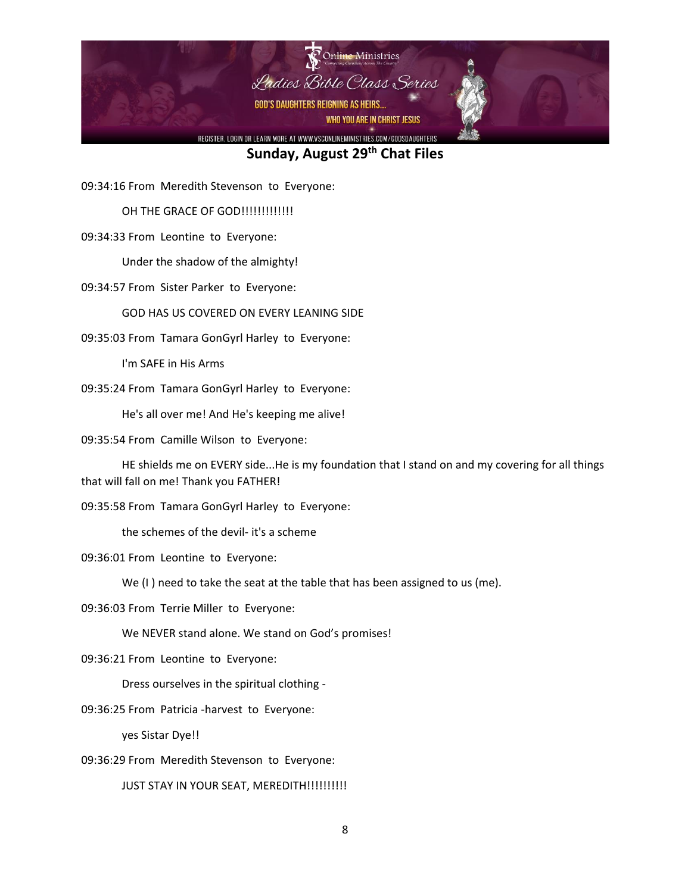

09:34:16 From Meredith Stevenson to Everyone:

OH THE GRACE OF GOD!!!!!!!!!!!!!!

09:34:33 From Leontine to Everyone:

Under the shadow of the almighty!

09:34:57 From Sister Parker to Everyone:

GOD HAS US COVERED ON EVERY LEANING SIDE

09:35:03 From Tamara GonGyrl Harley to Everyone:

I'm SAFE in His Arms

09:35:24 From Tamara GonGyrl Harley to Everyone:

He's all over me! And He's keeping me alive!

09:35:54 From Camille Wilson to Everyone:

HE shields me on EVERY side...He is my foundation that I stand on and my covering for all things that will fall on me! Thank you FATHER!

09:35:58 From Tamara GonGyrl Harley to Everyone:

the schemes of the devil- it's a scheme

09:36:01 From Leontine to Everyone:

We (I ) need to take the seat at the table that has been assigned to us (me).

09:36:03 From Terrie Miller to Everyone:

We NEVER stand alone. We stand on God's promises!

09:36:21 From Leontine to Everyone:

Dress ourselves in the spiritual clothing -

09:36:25 From Patricia -harvest to Everyone:

yes Sistar Dye!!

09:36:29 From Meredith Stevenson to Everyone:

JUST STAY IN YOUR SEAT, MEREDITH!!!!!!!!!!!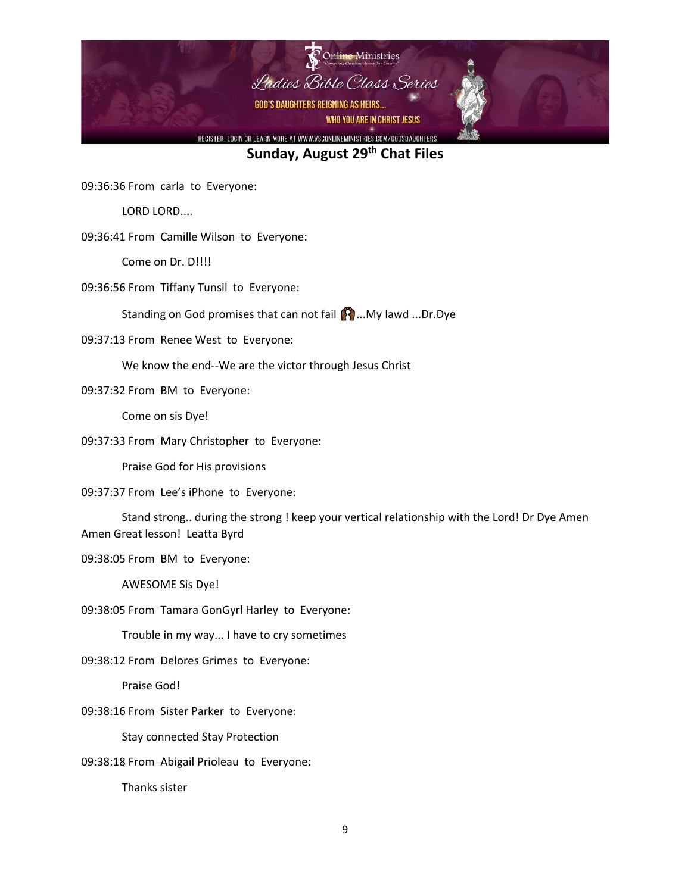

09:36:36 From carla to Everyone:

LORD LORD....

09:36:41 From Camille Wilson to Everyone:

Come on Dr. D!!!!

09:36:56 From Tiffany Tunsil to Everyone:

Standing on God promises that can not fail **[3]** ...My lawd ...Dr.Dye

09:37:13 From Renee West to Everyone:

We know the end--We are the victor through Jesus Christ

09:37:32 From BM to Everyone:

Come on sis Dye!

09:37:33 From Mary Christopher to Everyone:

Praise God for His provisions

09:37:37 From Lee's iPhone to Everyone:

Stand strong.. during the strong ! keep your vertical relationship with the Lord! Dr Dye Amen Amen Great lesson! Leatta Byrd

09:38:05 From BM to Everyone:

AWESOME Sis Dye!

09:38:05 From Tamara GonGyrl Harley to Everyone:

Trouble in my way... I have to cry sometimes

09:38:12 From Delores Grimes to Everyone:

Praise God!

09:38:16 From Sister Parker to Everyone:

Stay connected Stay Protection

09:38:18 From Abigail Prioleau to Everyone:

Thanks sister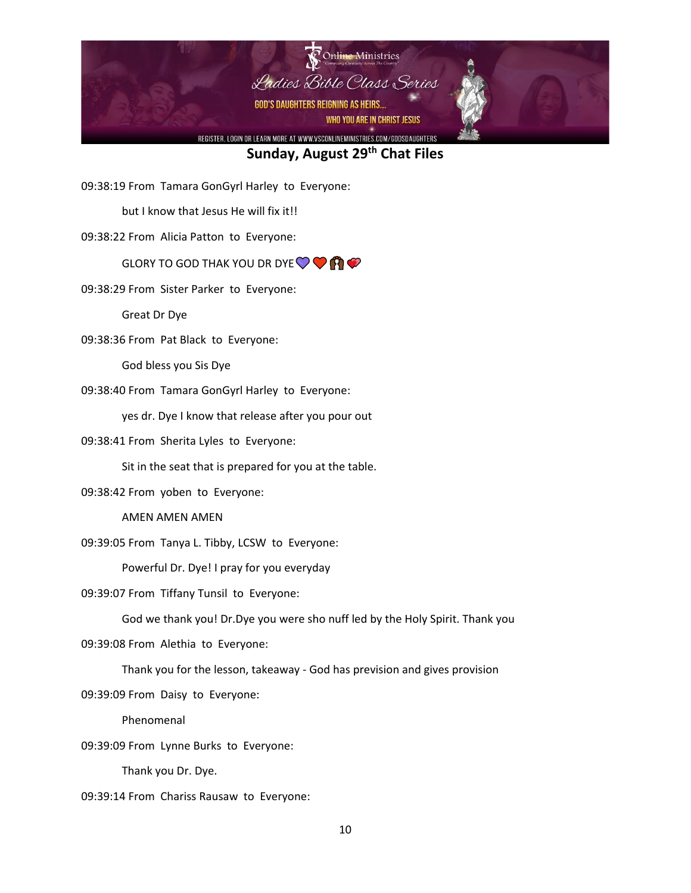

09:38:19 From Tamara GonGyrl Harley to Everyone:

but I know that Jesus He will fix it!!

09:38:22 From Alicia Patton to Everyone:

#### GLORY TO GOD THAK YOU DR DYE  $\heartsuit \heartsuit \heartsuit$

09:38:29 From Sister Parker to Everyone:

Great Dr Dye

09:38:36 From Pat Black to Everyone:

God bless you Sis Dye

09:38:40 From Tamara GonGyrl Harley to Everyone:

yes dr. Dye I know that release after you pour out

09:38:41 From Sherita Lyles to Everyone:

Sit in the seat that is prepared for you at the table.

09:38:42 From yoben to Everyone:

AMEN AMEN AMEN

09:39:05 From Tanya L. Tibby, LCSW to Everyone:

Powerful Dr. Dye! I pray for you everyday

09:39:07 From Tiffany Tunsil to Everyone:

God we thank you! Dr.Dye you were sho nuff led by the Holy Spirit. Thank you

09:39:08 From Alethia to Everyone:

Thank you for the lesson, takeaway - God has prevision and gives provision

09:39:09 From Daisy to Everyone:

Phenomenal

09:39:09 From Lynne Burks to Everyone:

Thank you Dr. Dye.

09:39:14 From Chariss Rausaw to Everyone: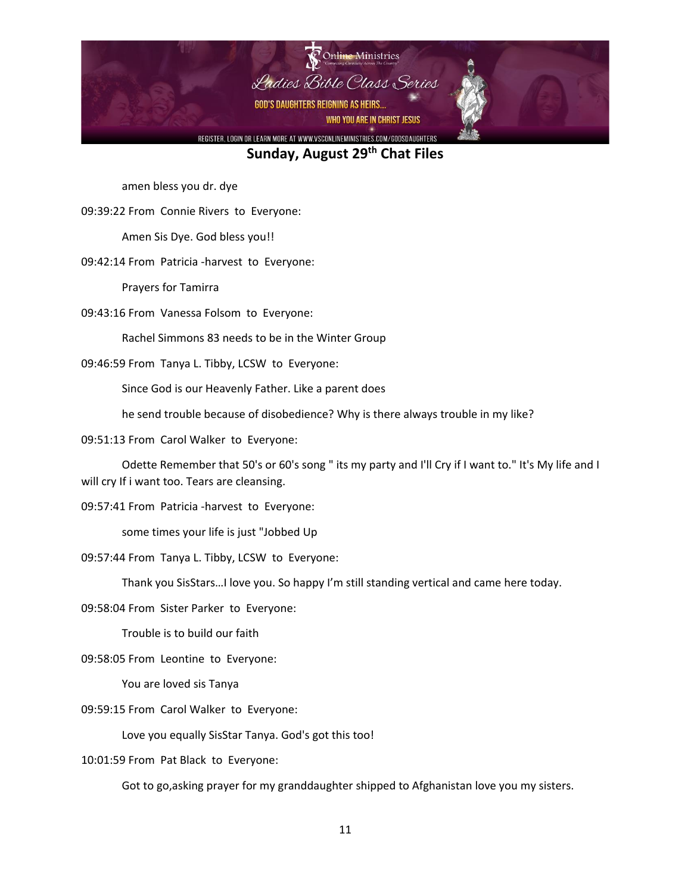

amen bless you dr. dye

09:39:22 From Connie Rivers to Everyone:

Amen Sis Dye. God bless you!!

09:42:14 From Patricia -harvest to Everyone:

Prayers for Tamirra

09:43:16 From Vanessa Folsom to Everyone:

Rachel Simmons 83 needs to be in the Winter Group

09:46:59 From Tanya L. Tibby, LCSW to Everyone:

Since God is our Heavenly Father. Like a parent does

he send trouble because of disobedience? Why is there always trouble in my like?

09:51:13 From Carol Walker to Everyone:

Odette Remember that 50's or 60's song " its my party and I'll Cry if I want to." It's My life and I will cry If i want too. Tears are cleansing.

09:57:41 From Patricia -harvest to Everyone:

some times your life is just "Jobbed Up

09:57:44 From Tanya L. Tibby, LCSW to Everyone:

Thank you SisStars…I love you. So happy I'm still standing vertical and came here today.

09:58:04 From Sister Parker to Everyone:

Trouble is to build our faith

09:58:05 From Leontine to Everyone:

You are loved sis Tanya

09:59:15 From Carol Walker to Everyone:

Love you equally SisStar Tanya. God's got this too!

10:01:59 From Pat Black to Everyone:

Got to go,asking prayer for my granddaughter shipped to Afghanistan love you my sisters.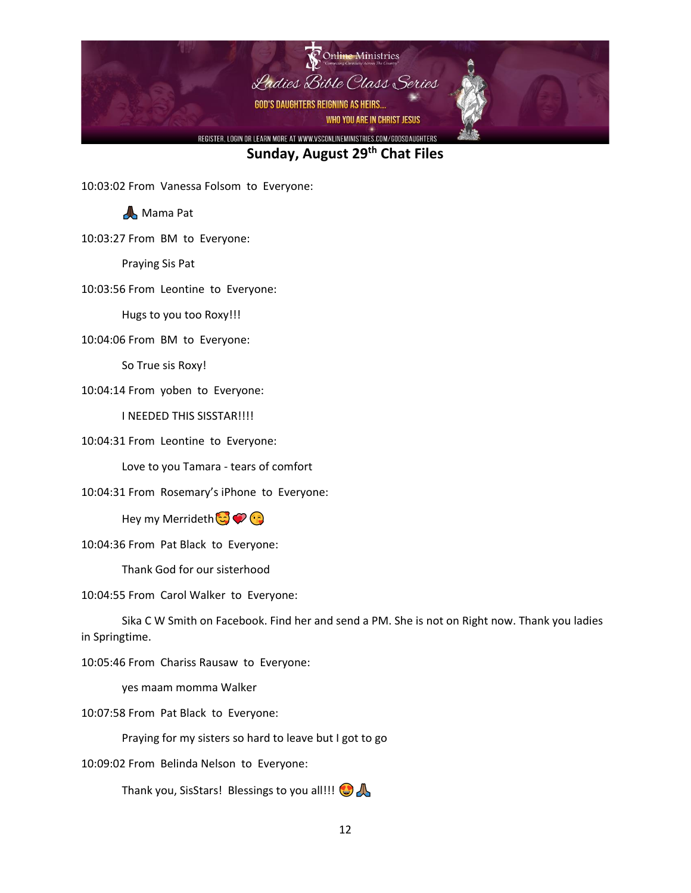

10:03:02 From Vanessa Folsom to Everyone:

**A** Mama Pat

10:03:27 From BM to Everyone:

Praying Sis Pat

10:03:56 From Leontine to Everyone:

Hugs to you too Roxy!!!

10:04:06 From BM to Everyone:

So True sis Roxy!

10:04:14 From yoben to Everyone:

I NEEDED THIS SISSTAR!!!!

10:04:31 From Leontine to Everyone:

Love to you Tamara - tears of comfort

10:04:31 From Rosemary's iPhone to Everyone:

Hey my Merrideth

10:04:36 From Pat Black to Everyone:

Thank God for our sisterhood

10:04:55 From Carol Walker to Everyone:

Sika C W Smith on Facebook. Find her and send a PM. She is not on Right now. Thank you ladies in Springtime.

10:05:46 From Chariss Rausaw to Everyone:

yes maam momma Walker

10:07:58 From Pat Black to Everyone:

Praying for my sisters so hard to leave but I got to go

10:09:02 From Belinda Nelson to Everyone:

Thank you, SisStars! Blessings to you all!!!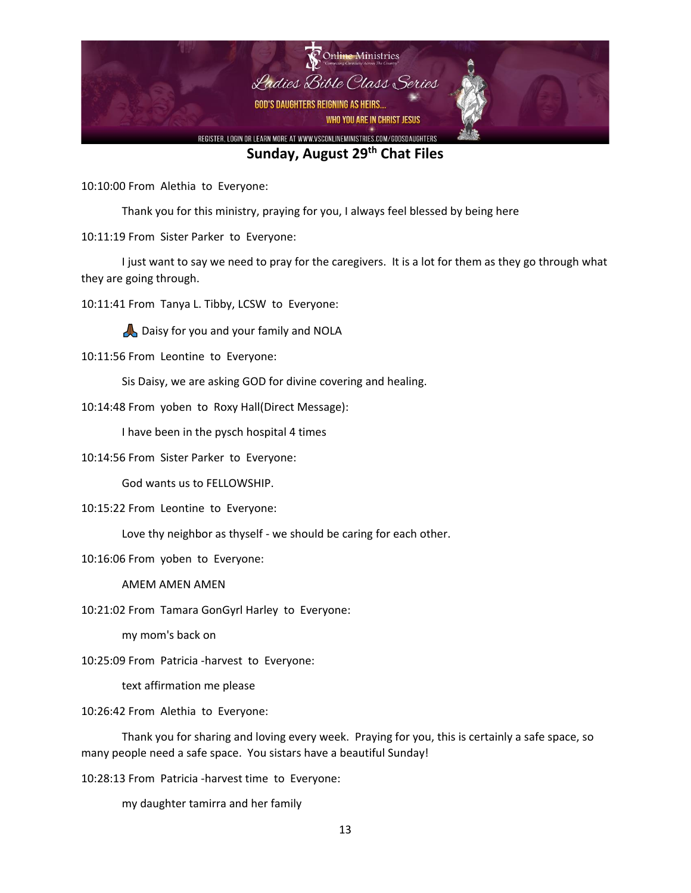

10:10:00 From Alethia to Everyone:

Thank you for this ministry, praying for you, I always feel blessed by being here

10:11:19 From Sister Parker to Everyone:

I just want to say we need to pray for the caregivers. It is a lot for them as they go through what they are going through.

10:11:41 From Tanya L. Tibby, LCSW to Everyone:

Daisy for you and your family and NOLA

10:11:56 From Leontine to Everyone:

Sis Daisy, we are asking GOD for divine covering and healing.

10:14:48 From yoben to Roxy Hall(Direct Message):

I have been in the pysch hospital 4 times

10:14:56 From Sister Parker to Everyone:

God wants us to FELLOWSHIP.

10:15:22 From Leontine to Everyone:

Love thy neighbor as thyself - we should be caring for each other.

10:16:06 From yoben to Everyone:

AMEM AMEN AMEN

10:21:02 From Tamara GonGyrl Harley to Everyone:

my mom's back on

10:25:09 From Patricia -harvest to Everyone:

text affirmation me please

10:26:42 From Alethia to Everyone:

Thank you for sharing and loving every week. Praying for you, this is certainly a safe space, so many people need a safe space. You sistars have a beautiful Sunday!

10:28:13 From Patricia -harvest time to Everyone:

my daughter tamirra and her family